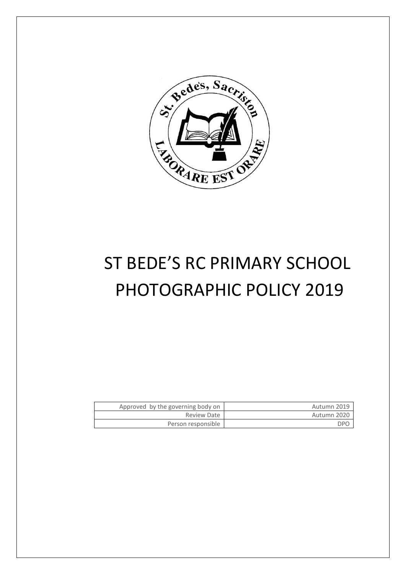

# ST BEDE'S RC PRIMARY SCHOOL PHOTOGRAPHIC POLICY 2019

| Approved by the governing body on | Autumn 2019 |
|-----------------------------------|-------------|
| Review Date                       | Autumn 2020 |
| Person responsible                | DPO.        |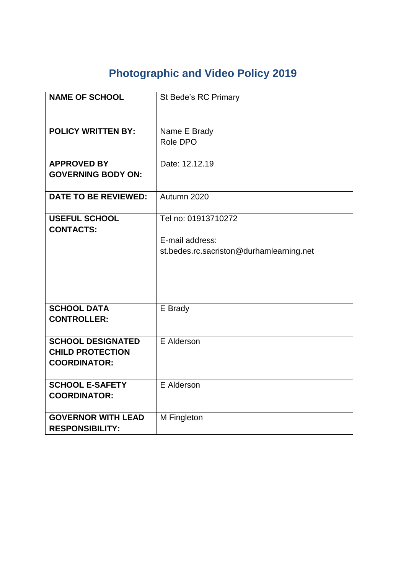## **Photographic and Video Policy 2019**

| <b>NAME OF SCHOOL</b>                                                      | St Bede's RC Primary                                                               |
|----------------------------------------------------------------------------|------------------------------------------------------------------------------------|
| <b>POLICY WRITTEN BY:</b>                                                  | Name E Brady<br>Role DPO                                                           |
| <b>APPROVED BY</b><br><b>GOVERNING BODY ON:</b>                            | Date: 12.12.19                                                                     |
| <b>DATE TO BE REVIEWED:</b>                                                | Autumn 2020                                                                        |
| <b>USEFUL SCHOOL</b><br><b>CONTACTS:</b>                                   | Tel no: 01913710272<br>E-mail address:<br>st.bedes.rc.sacriston@durhamlearning.net |
| <b>SCHOOL DATA</b><br><b>CONTROLLER:</b>                                   | E Brady                                                                            |
| <b>SCHOOL DESIGNATED</b><br><b>CHILD PROTECTION</b><br><b>COORDINATOR:</b> | E Alderson                                                                         |
| <b>SCHOOL E-SAFETY</b><br><b>COORDINATOR:</b>                              | E Alderson                                                                         |
| <b>GOVERNOR WITH LEAD</b><br><b>RESPONSIBILITY:</b>                        | M Fingleton                                                                        |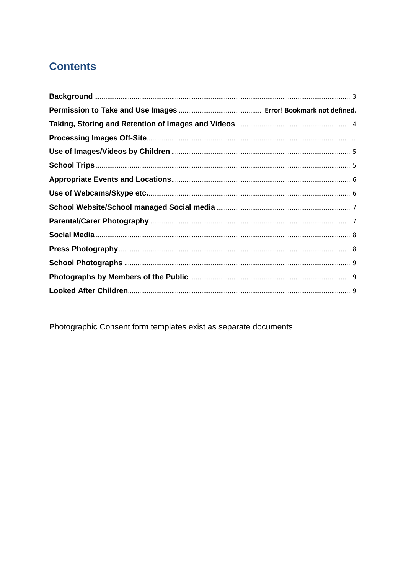## **Contents**

Photographic Consent form templates exist as separate documents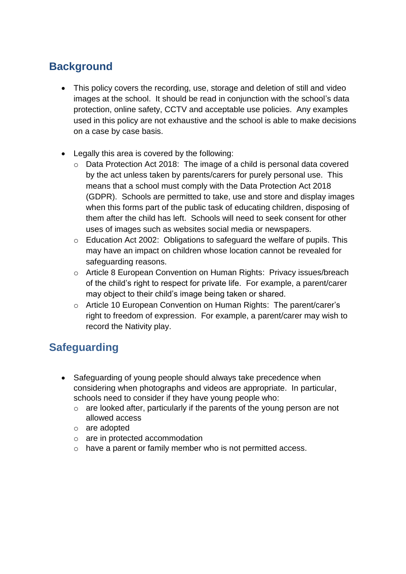#### <span id="page-3-0"></span>**Background**

- This policy covers the recording, use, storage and deletion of still and video images at the school. It should be read in conjunction with the school's data protection, online safety, CCTV and acceptable use policies. Any examples used in this policy are not exhaustive and the school is able to make decisions on a case by case basis.
- Legally this area is covered by the following:
	- o Data Protection Act 2018: The image of a child is personal data covered by the act unless taken by parents/carers for purely personal use. This means that a school must comply with the Data Protection Act 2018 (GDPR). Schools are permitted to take, use and store and display images when this forms part of the public task of educating children, disposing of them after the child has left. Schools will need to seek consent for other uses of images such as websites social media or newspapers.
	- o Education Act 2002: Obligations to safeguard the welfare of pupils. This may have an impact on children whose location cannot be revealed for safeguarding reasons.
	- o Article 8 European Convention on Human Rights: Privacy issues/breach of the child's right to respect for private life. For example, a parent/carer may object to their child's image being taken or shared.
	- o Article 10 European Convention on Human Rights: The parent/carer's right to freedom of expression. For example, a parent/carer may wish to record the Nativity play.

## **Safeguarding**

- Safeguarding of young people should always take precedence when considering when photographs and videos are appropriate. In particular, schools need to consider if they have young people who:
	- o are looked after, particularly if the parents of the young person are not allowed access
	- o are adopted
	- o are in protected accommodation
	- o have a parent or family member who is not permitted access.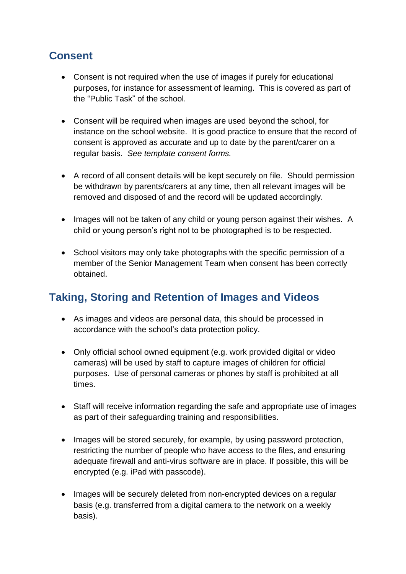#### **Consent**

- Consent is not required when the use of images if purely for educational purposes, for instance for assessment of learning. This is covered as part of the "Public Task" of the school.
- Consent will be required when images are used beyond the school, for instance on the school website. It is good practice to ensure that the record of consent is approved as accurate and up to date by the parent/carer on a regular basis. *See template consent forms.*
- A record of all consent details will be kept securely on file. Should permission be withdrawn by parents/carers at any time, then all relevant images will be removed and disposed of and the record will be updated accordingly.
- Images will not be taken of any child or young person against their wishes. A child or young person's right not to be photographed is to be respected.
- School visitors may only take photographs with the specific permission of a member of the Senior Management Team when consent has been correctly obtained.

#### <span id="page-4-0"></span>**Taking, Storing and Retention of Images and Videos**

- As images and videos are personal data, this should be processed in accordance with the school's data protection policy.
- Only official school owned equipment (e.g. work provided digital or video cameras) will be used by staff to capture images of children for official purposes. Use of personal cameras or phones by staff is prohibited at all times.
- Staff will receive information regarding the safe and appropriate use of images as part of their safeguarding training and responsibilities.
- Images will be stored securely, for example, by using password protection, restricting the number of people who have access to the files, and ensuring adequate firewall and anti-virus software are in place. If possible, this will be encrypted (e.g. iPad with passcode).
- Images will be securely deleted from non-encrypted devices on a regular basis (e.g. transferred from a digital camera to the network on a weekly basis).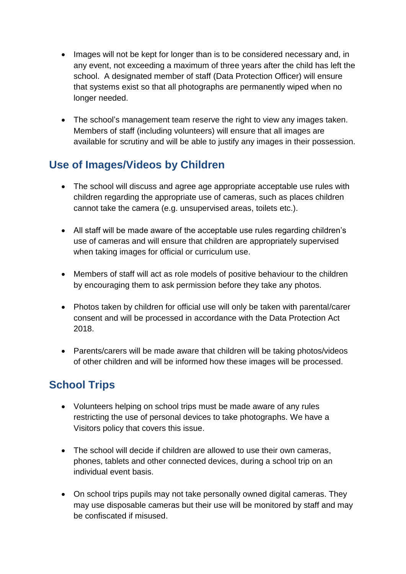- Images will not be kept for longer than is to be considered necessary and, in any event, not exceeding a maximum of three years after the child has left the school. A designated member of staff (Data Protection Officer) will ensure that systems exist so that all photographs are permanently wiped when no longer needed.
- The school's management team reserve the right to view any images taken. Members of staff (including volunteers) will ensure that all images are available for scrutiny and will be able to justify any images in their possession.

## <span id="page-5-0"></span>**Use of Images/Videos by Children**

- The school will discuss and agree age appropriate acceptable use rules with children regarding the appropriate use of cameras, such as places children cannot take the camera (e.g. unsupervised areas, toilets etc.).
- All staff will be made aware of the acceptable use rules regarding children's use of cameras and will ensure that children are appropriately supervised when taking images for official or curriculum use.
- Members of staff will act as role models of positive behaviour to the children by encouraging them to ask permission before they take any photos.
- Photos taken by children for official use will only be taken with parental/carer consent and will be processed in accordance with the Data Protection Act 2018.
- Parents/carers will be made aware that children will be taking photos/videos of other children and will be informed how these images will be processed.

## <span id="page-5-1"></span>**School Trips**

- Volunteers helping on school trips must be made aware of any rules restricting the use of personal devices to take photographs. We have a Visitors policy that covers this issue.
- The school will decide if children are allowed to use their own cameras, phones, tablets and other connected devices, during a school trip on an individual event basis.
- On school trips pupils may not take personally owned digital cameras. They may use disposable cameras but their use will be monitored by staff and may be confiscated if misused.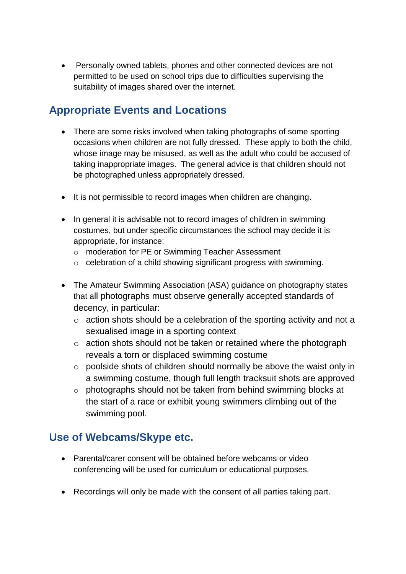• Personally owned tablets, phones and other connected devices are not permitted to be used on school trips due to difficulties supervising the suitability of images shared over the internet.

#### <span id="page-6-0"></span>**Appropriate Events and Locations**

- There are some risks involved when taking photographs of some sporting occasions when children are not fully dressed. These apply to both the child, whose image may be misused, as well as the adult who could be accused of taking inappropriate images. The general advice is that children should not be photographed unless appropriately dressed.
- It is not permissible to record images when children are changing.
- In general it is advisable not to record images of children in swimming costumes, but under specific circumstances the school may decide it is appropriate, for instance:
	- o moderation for PE or Swimming Teacher Assessment
	- o celebration of a child showing significant progress with swimming.
- The Amateur Swimming Association (ASA) guidance on photography states that all photographs must observe generally accepted standards of decency, in particular:
	- o action shots should be a celebration of the sporting activity and not a sexualised image in a sporting context
	- o action shots should not be taken or retained where the photograph reveals a torn or displaced swimming costume
	- o poolside shots of children should normally be above the waist only in a swimming costume, though full length tracksuit shots are approved
	- o photographs should not be taken from behind swimming blocks at the start of a race or exhibit young swimmers climbing out of the swimming pool.

#### <span id="page-6-1"></span>**Use of Webcams/Skype etc.**

- Parental/carer consent will be obtained before webcams or video conferencing will be used for curriculum or educational purposes.
- Recordings will only be made with the consent of all parties taking part.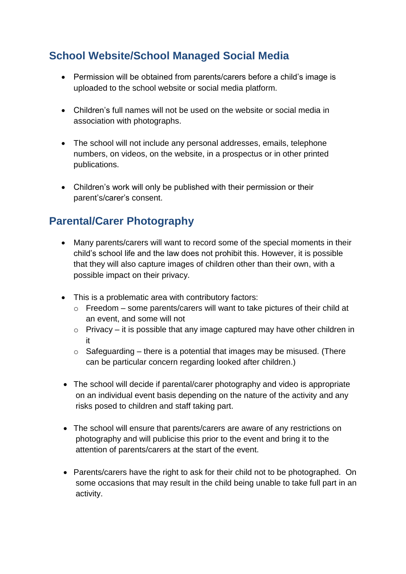### <span id="page-7-0"></span>**School Website/School Managed Social Media**

- Permission will be obtained from parents/carers before a child's image is uploaded to the school website or social media platform.
- Children's full names will not be used on the website or social media in association with photographs.
- The school will not include any personal addresses, emails, telephone numbers, on videos, on the website, in a prospectus or in other printed publications.
- Children's work will only be published with their permission or their parent's/carer's consent.

#### <span id="page-7-1"></span>**Parental/Carer Photography**

- Many parents/carers will want to record some of the special moments in their child's school life and the law does not prohibit this. However, it is possible that they will also capture images of children other than their own, with a possible impact on their privacy.
- This is a problematic area with contributory factors:
	- o Freedom some parents/carers will want to take pictures of their child at an event, and some will not
	- $\circ$  Privacy it is possible that any image captured may have other children in it
	- $\circ$  Safeguarding there is a potential that images may be misused. (There can be particular concern regarding looked after children.)
- The school will decide if parental/carer photography and video is appropriate on an individual event basis depending on the nature of the activity and any risks posed to children and staff taking part.
- The school will ensure that parents/carers are aware of any restrictions on photography and will publicise this prior to the event and bring it to the attention of parents/carers at the start of the event.
- Parents/carers have the right to ask for their child not to be photographed. On some occasions that may result in the child being unable to take full part in an activity.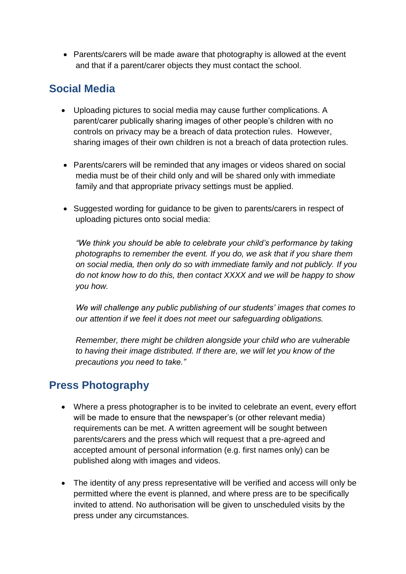• Parents/carers will be made aware that photography is allowed at the event and that if a parent/carer objects they must contact the school.

#### <span id="page-8-0"></span>**Social Media**

- Uploading pictures to social media may cause further complications. A parent/carer publically sharing images of other people's children with no controls on privacy may be a breach of data protection rules. However, sharing images of their own children is not a breach of data protection rules.
- Parents/carers will be reminded that any images or videos shared on social media must be of their child only and will be shared only with immediate family and that appropriate privacy settings must be applied.
- Suggested wording for guidance to be given to parents/carers in respect of uploading pictures onto social media:

*"We think you should be able to celebrate your child's performance by taking photographs to remember the event. If you do, we ask that if you share them on social media, then only do so with immediate family and not publicly. If you do not know how to do this, then contact XXXX and we will be happy to show you how.*

*We will challenge any public publishing of our students' images that comes to our attention if we feel it does not meet our safeguarding obligations.*

*Remember, there might be children alongside your child who are vulnerable to having their image distributed. If there are, we will let you know of the precautions you need to take."*

#### <span id="page-8-1"></span>**Press Photography**

- Where a press photographer is to be invited to celebrate an event, every effort will be made to ensure that the newspaper's (or other relevant media) requirements can be met. A written agreement will be sought between parents/carers and the press which will request that a pre-agreed and accepted amount of personal information (e.g. first names only) can be published along with images and videos.
- The identity of any press representative will be verified and access will only be permitted where the event is planned, and where press are to be specifically invited to attend. No authorisation will be given to unscheduled visits by the press under any circumstances.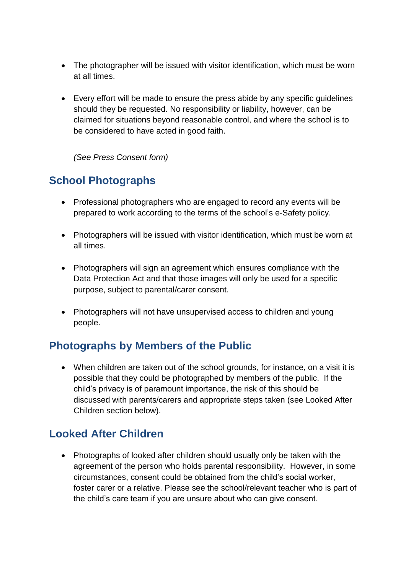- The photographer will be issued with visitor identification, which must be worn at all times.
- Every effort will be made to ensure the press abide by any specific guidelines should they be requested. No responsibility or liability, however, can be claimed for situations beyond reasonable control, and where the school is to be considered to have acted in good faith.

*(See Press Consent form)*

#### <span id="page-9-0"></span>**School Photographs**

- Professional photographers who are engaged to record any events will be prepared to work according to the terms of the school's e-Safety policy.
- Photographers will be issued with visitor identification, which must be worn at all times.
- Photographers will sign an agreement which ensures compliance with the Data Protection Act and that those images will only be used for a specific purpose, subject to parental/carer consent.
- Photographers will not have unsupervised access to children and young people.

#### <span id="page-9-1"></span>**Photographs by Members of the Public**

• When children are taken out of the school grounds, for instance, on a visit it is possible that they could be photographed by members of the public. If the child's privacy is of paramount importance, the risk of this should be discussed with parents/carers and appropriate steps taken (see Looked After Children section below).

#### <span id="page-9-2"></span>**Looked After Children**

• Photographs of looked after children should usually only be taken with the agreement of the person who holds parental responsibility. However, in some circumstances, consent could be obtained from the child's social worker, foster carer or a relative. Please see the school/relevant teacher who is part of the child's care team if you are unsure about who can give consent.